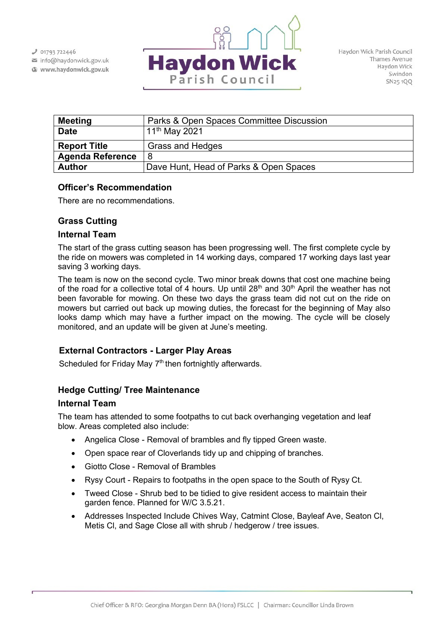$J$  01793 722446

info@haydonwick.gov.uk Www.haydonwick.gov.uk



| <b>Meeting</b>          | Parks & Open Spaces Committee Discussion |
|-------------------------|------------------------------------------|
| <b>Date</b>             | l 11 <sup>th</sup> May 2021              |
| <b>Report Title</b>     | <b>Grass and Hedges</b>                  |
| <b>Agenda Reference</b> | 8                                        |
| <b>Author</b>           | Dave Hunt, Head of Parks & Open Spaces   |

# **Officer's Recommendation**

There are no recommendations.

# **Grass Cutting**

## **Internal Team**

The start of the grass cutting season has been progressing well. The first complete cycle by the ride on mowers was completed in 14 working days, compared 17 working days last year saving 3 working days.

The team is now on the second cycle. Two minor break downs that cost one machine being of the road for a collective total of 4 hours. Up until  $28<sup>th</sup>$  and  $30<sup>th</sup>$  April the weather has not been favorable for mowing. On these two days the grass team did not cut on the ride on mowers but carried out back up mowing duties, the forecast for the beginning of May also looks damp which may have a further impact on the mowing. The cycle will be closely monitored, and an update will be given at June's meeting.

# **External Contractors - Larger Play Areas**

Scheduled for Friday May  $7<sup>th</sup>$  then fortnightly afterwards.

# **Hedge Cutting/ Tree Maintenance**

# **Internal Team**

The team has attended to some footpaths to cut back overhanging vegetation and leaf blow. Areas completed also include:

- Angelica Close Removal of brambles and fly tipped Green waste.
- Open space rear of Cloverlands tidy up and chipping of branches.
- Giotto Close Removal of Brambles
- Rysy Court Repairs to footpaths in the open space to the South of Rysy Ct.
- Tweed Close Shrub bed to be tidied to give resident access to maintain their garden fence. Planned for W/C 3.5.21.
- Addresses Inspected Include Chives Way, Catmint Close, Bayleaf Ave, Seaton Cl, Metis Cl, and Sage Close all with shrub / hedgerow / tree issues.